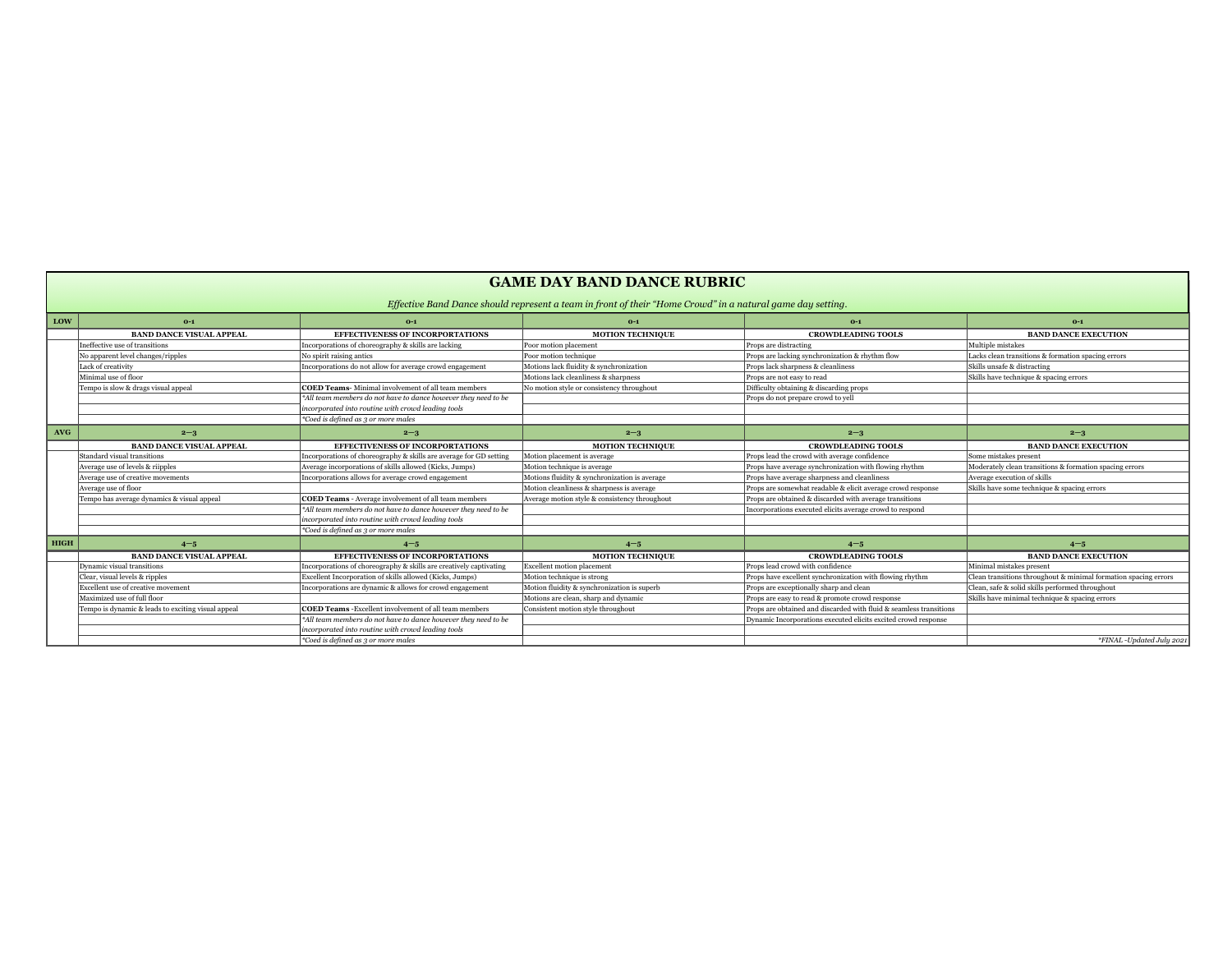|             | Effective Band Dance should represent a team in front of their "Home Crowd" in a natural game day setting. |                                                                    |                                               |                                                                    |                                                         |
|-------------|------------------------------------------------------------------------------------------------------------|--------------------------------------------------------------------|-----------------------------------------------|--------------------------------------------------------------------|---------------------------------------------------------|
| LOW         | $0-1$                                                                                                      | $0-1$                                                              | $0-1$                                         | $0-1$                                                              | $O-1$                                                   |
|             | <b>BAND DANCE VISUAL APPEAL</b>                                                                            | <b>EFFECTIVENESS OF INCORPORTATIONS</b>                            | <b>MOTION TECHNIQUE</b>                       | <b>CROWDLEADING TOOLS</b>                                          | <b>BAND DANCE EXECUTION</b>                             |
|             | Ineffective use of transitions                                                                             | Incorporations of choreography & skills are lacking                | Poor motion placement                         | Props are distracting                                              | Multiple mistakes                                       |
|             | No apparent level changes/ripples                                                                          | No spirit raising antics                                           | Poor motion technique                         | Props are lacking synchronization & rhythm flow                    | Lacks clean transitions & formation spacing errors      |
|             | Lack of creativity                                                                                         | Incorporations do not allow for average crowd engagement           | Motions lack fluidity & synchronization       | Props lack sharpness & cleanliness                                 | Skills unsafe & distracting                             |
|             | Minimal use of floor                                                                                       |                                                                    | Motions lack cleanliness & sharpness          | Props are not easy to read                                         | Skills have technique & spacing errors                  |
|             | Tempo is slow & drags visual appeal                                                                        | <b>COED Teams-</b> Minimal involvement of all team members         | No motion style or consistency throughout     | Difficulty obtaining & discarding props                            |                                                         |
|             |                                                                                                            | *All team members do not have to dance however they need to be     |                                               | Props do not prepare crowd to yell                                 |                                                         |
|             |                                                                                                            | incorporated into routine with crowd leading tools                 |                                               |                                                                    |                                                         |
|             |                                                                                                            | <i>*Coed is defined as 3 or more males</i>                         |                                               |                                                                    |                                                         |
| <b>AVG</b>  | $2 - 3$                                                                                                    | $2 - 3$                                                            | $2 - 3$                                       | $2 - 3$                                                            | $2 - 3$                                                 |
|             | <b>BAND DANCE VISUAL APPEAL</b>                                                                            | <b>EFFECTIVENESS OF INCORPORTATIONS</b>                            | <b>MOTION TECHNIQUE</b>                       | <b>CROWDLEADING TOOLS</b>                                          | <b>BAND DANCE EXECUTION</b>                             |
|             | Standard visual transitions                                                                                | Incorporations of choreography & skills are average for GD setting | Motion placement is average                   | Props lead the crowd with average confidence                       | Some mistakes present                                   |
|             | Average use of levels & riipples                                                                           | Average incorporations of skills allowed (Kicks, Jumps)            | Motion technique is average                   | Props have average synchronization with flowing rhythm             | Moderately clean transitions & formation spacing errors |
|             | Average use of creative movements                                                                          | Incorporations allows for average crowd engagement                 | Motions fluidity & synchronization is average | Props have average sharpness and cleanliness                       | Average execution of skills                             |
|             | Average use of floor                                                                                       |                                                                    | Motion cleanliness & sharpness is average     | Props are somewhat readable & elicit average crowd response        | Skills have some technique & spacing errors             |
|             | Tempo has average dynamics & visual appeal                                                                 | <b>COED Teams</b> - Average involvement of all team members        | Average motion style & consistency throughout | Props are obtained & discarded with average transitions            |                                                         |
|             |                                                                                                            | *All team members do not have to dance however they need to be     |                                               | Incorporations executed elicits average crowd to respond           |                                                         |
|             |                                                                                                            | incorporated into routine with crowd leading tools                 |                                               |                                                                    |                                                         |
|             |                                                                                                            | *Coed is defined as 3 or more males                                |                                               |                                                                    |                                                         |
| <b>HIGH</b> | $4 - 5$                                                                                                    | $4 - 5$                                                            | $4 - 5$                                       | $4 - 5$                                                            | $4 - 5$                                                 |
|             | <b>BAND DANCE VISUAL APPEAL</b>                                                                            | <b>EFFECTIVENESS OF INCORPORTATIONS</b>                            | <b>MOTION TECHNIQUE</b>                       | <b>CROWDLEADING TOOLS</b>                                          | <b>BAND DANCE EXECUTION</b>                             |
|             | Dynamic visual transitions                                                                                 | Incorporations of choreography & skills are creatively captivating | <b>Excellent motion placement</b>             | Props lead crowd with confidence                                   | Minimal mistakes present                                |
|             | Clear, visual levels & ripples                                                                             | Excellent Incorporation of skills allowed (Kicks, Jumps)           | Motion technique is strong                    | Props have excellent synchronization with flowing rhythm           | Clean transitions throughout & minimal formation spaci  |
|             | <b>Excellent use of creative movement</b>                                                                  | Incorporations are dynamic & allows for crowd engagement           | Motion fluidity & synchronization is superb   | Props are exceptionally sharp and clean                            | Clean, safe & solid skills performed throughout         |
|             | Maximized use of full floor                                                                                |                                                                    | Motions are clean, sharp and dynamic          | Props are easy to read & promote crowd response                    | Skills have minimal technique & spacing errors          |
|             | Tempo is dynamic & leads to exciting visual appeal                                                         | <b>COED Teams</b> - Excellent involvement of all team members      | Consistent motion style throughout            | Props are obtained and discarded with fluid & seamless transitions |                                                         |
|             |                                                                                                            | *All team members do not have to dance however they need to be     |                                               | Dynamic Incorporations executed elicits excited crowd response     |                                                         |
|             |                                                                                                            | incorporated into routine with crowd leading tools                 |                                               |                                                                    |                                                         |
|             |                                                                                                            | <i>*Coed is defined as 3 or more males</i>                         |                                               |                                                                    | <i>*FINAL</i> -Upda                                     |

t & minimal formation spacing errors

*\*Coed is defined as 3 or more males \*FINAL -Updated July 2021*

# **GAME DAY BAND DANCE RUBRIC**

### *Effective Band Dance should represent a team in front of their "Home Crowd" in a natural game day setting.*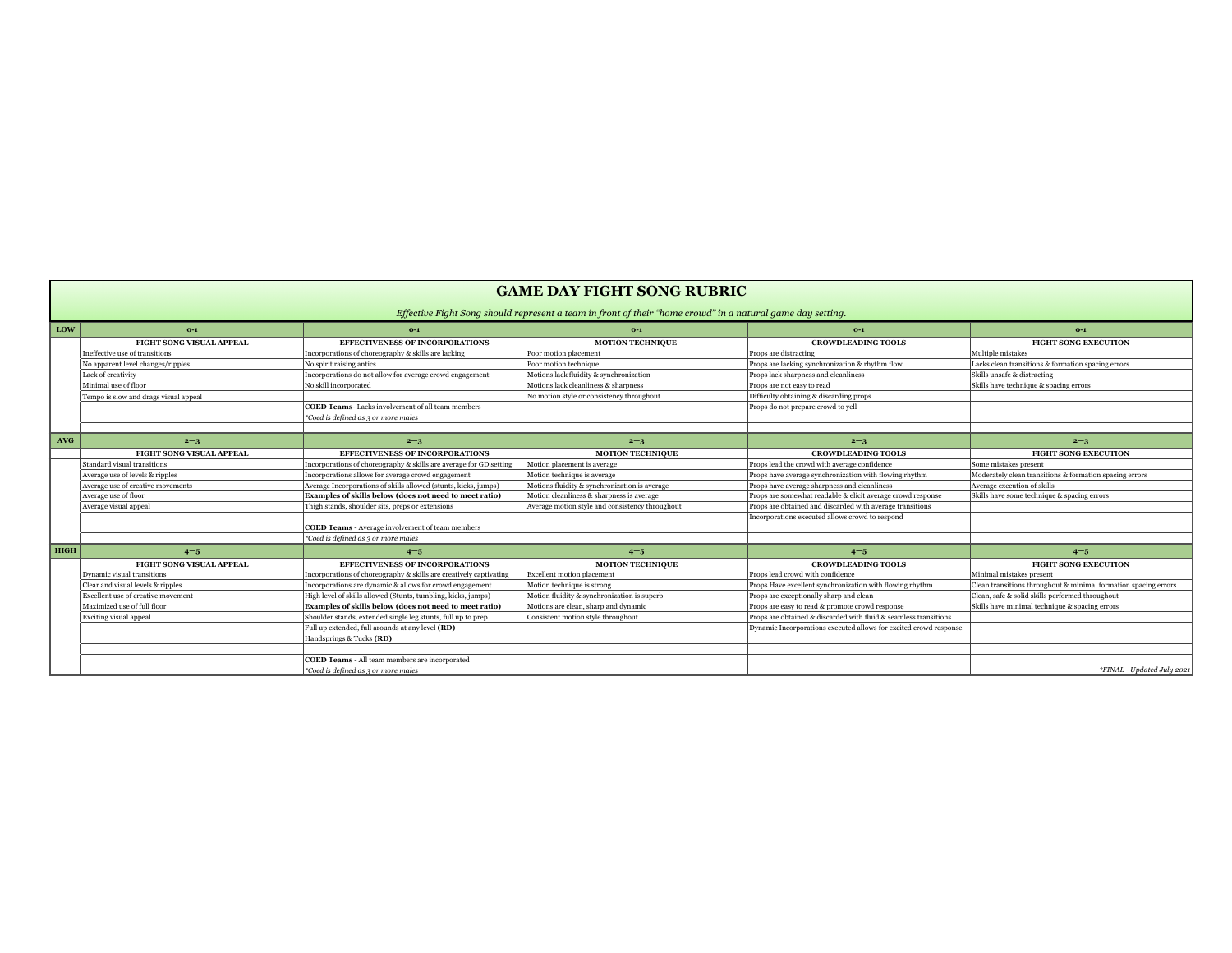**Barbara** 

| Effective Fight Song should represent a team in front of their "home crowd" in a natural game day setting.                                                                                              | $O-1$                                                           |
|---------------------------------------------------------------------------------------------------------------------------------------------------------------------------------------------------------|-----------------------------------------------------------------|
|                                                                                                                                                                                                         |                                                                 |
| <b>LOW</b><br>$0-1$<br>$0-1$<br>$0-1$<br>$0-1$                                                                                                                                                          |                                                                 |
| <b>FIGHT SONG VISUAL APPEAL</b><br><b>EFFECTIVENESS OF INCORPORATIONS</b><br><b>MOTION TECHNIQUE</b><br><b>CROWDLEADING TOOLS</b>                                                                       | <b>FIGHT SONG EXECUTION</b>                                     |
| Ineffective use of transitions<br>Poor motion placement<br>Incorporations of choreography & skills are lacking<br>Props are distracting                                                                 | Multiple mistakes                                               |
| Props are lacking synchronization & rhythm flow<br>No spirit raising antics<br>Poor motion technique<br>No apparent level changes/ripples                                                               | Lacks clean transitions & formation spacing errors              |
| Incorporations do not allow for average crowd engagement<br>Motions lack fluidity & synchronization<br>Lack of creativity<br>Props lack sharpness and cleanliness                                       | Skills unsafe & distracting                                     |
| Minimal use of floor<br>Motions lack cleanliness & sharpness<br>No skill incorporated<br>Props are not easy to read                                                                                     | Skills have technique & spacing errors                          |
| Difficulty obtaining & discarding props<br>No motion style or consistency throughout<br>Tempo is slow and drags visual appeal                                                                           |                                                                 |
| <b>COED Teams-</b> Lacks involvement of all team members<br>Props do not prepare crowd to yell                                                                                                          |                                                                 |
| $\mathbf{\n}\ast$ Coed is defined as 3 or more males                                                                                                                                                    |                                                                 |
|                                                                                                                                                                                                         |                                                                 |
| <b>AVG</b><br>$2 - 3$<br>$2 - 3$<br>$2 - 3$<br>$2 - 3$                                                                                                                                                  | $2 - 3$                                                         |
| <b>EFFECTIVENESS OF INCORPORATIONS</b><br><b>MOTION TECHNIQUE</b><br><b>CROWDLEADING TOOLS</b><br><b>FIGHT SONG VISUAL APPEAL</b>                                                                       | <b>FIGHT SONG EXECUTION</b>                                     |
| Standard visual transitions<br>Motion placement is average<br>Props lead the crowd with average confidence<br>Incorporations of choreography & skills are average for GD setting                        | Some mistakes present                                           |
| Average use of levels & ripples<br>Motion technique is average<br>Props have average synchronization with flowing rhythm<br>Incorporations allows for average crowd engagement                          | Moderately clean transitions & formation spacing errors         |
| Motions fluidity & synchronization is average<br>Average use of creative movements<br>Average Incorporations of skills allowed (stunts, kicks, jumps)<br>Props have average sharpness and cleanliness   | Average execution of skills                                     |
| Average use of floor<br><b>Examples of skills below (does not need to meet ratio)</b><br>Motion cleanliness & sharpness is average<br>Props are somewhat readable & elicit average crowd response       | Skills have some technique & spacing errors                     |
| Props are obtained and discarded with average transitions<br>Average visual appeal<br>Thigh stands, shoulder sits, preps or extensions<br>Average motion style and consistency throughout               |                                                                 |
| Incorporations executed allows crowd to respond                                                                                                                                                         |                                                                 |
| <b>COED Teams</b> - Average involvement of team members                                                                                                                                                 |                                                                 |
| $\mathbf{\degree}$ Coed is defined as 3 or more males                                                                                                                                                   |                                                                 |
| HIGH<br>$4 - 5$<br>$4 - 5$<br>$4 - 5$<br>$4 - 5$                                                                                                                                                        | $4 - 5$                                                         |
| <b>MOTION TECHNIQUE</b><br><b>FIGHT SONG VISUAL APPEAL</b><br><b>EFFECTIVENESS OF INCORPORATIONS</b><br><b>CROWDLEADING TOOLS</b>                                                                       | <b>FIGHT SONG EXECUTION</b>                                     |
| Dynamic visual transitions<br><b>Excellent motion placement</b><br>Props lead crowd with confidence<br>Incorporations of choreography & skills are creatively captivating                               | Minimal mistakes present                                        |
| Motion technique is strong<br>Props Have excellent synchronization with flowing rhythm<br>Clear and visual levels & ripples<br>Incorporations are dynamic & allows for crowd engagement                 | Clean transitions throughout & minimal formation spacing errors |
| Motion fluidity & synchronization is superb<br><b>Excellent use of creative movement</b><br>High level of skills allowed (Stunts, tumbling, kicks, jumps)<br>Props are exceptionally sharp and clean    | Clean, safe & solid skills performed throughout                 |
| Maximized use of full floor<br>Motions are clean, sharp and dynamic<br><b>Examples of skills below (does not need to meet ratio)</b><br>Props are easy to read & promote crowd response                 | Skills have minimal technique & spacing errors                  |
| <b>Exciting visual appeal</b><br>Consistent motion style throughout<br>Shoulder stands, extended single leg stunts, full up to prep<br>Props are obtained & discarded with fluid & seamless transitions |                                                                 |
| Full up extended, full arounds at any level <b>(RD)</b><br>Dynamic Incorporations executed allows for excited crowd response                                                                            |                                                                 |
| Handsprings & Tucks (RD)                                                                                                                                                                                |                                                                 |
|                                                                                                                                                                                                         |                                                                 |
| <b>COED Teams</b> - All team members are incorporated                                                                                                                                                   |                                                                 |
| $\mathbf{\degree}$ Coed is defined as 3 or more males                                                                                                                                                   | *FINAL - Updated July 2021                                      |

## **GAME DAY FIGHT SONG RUBRIC**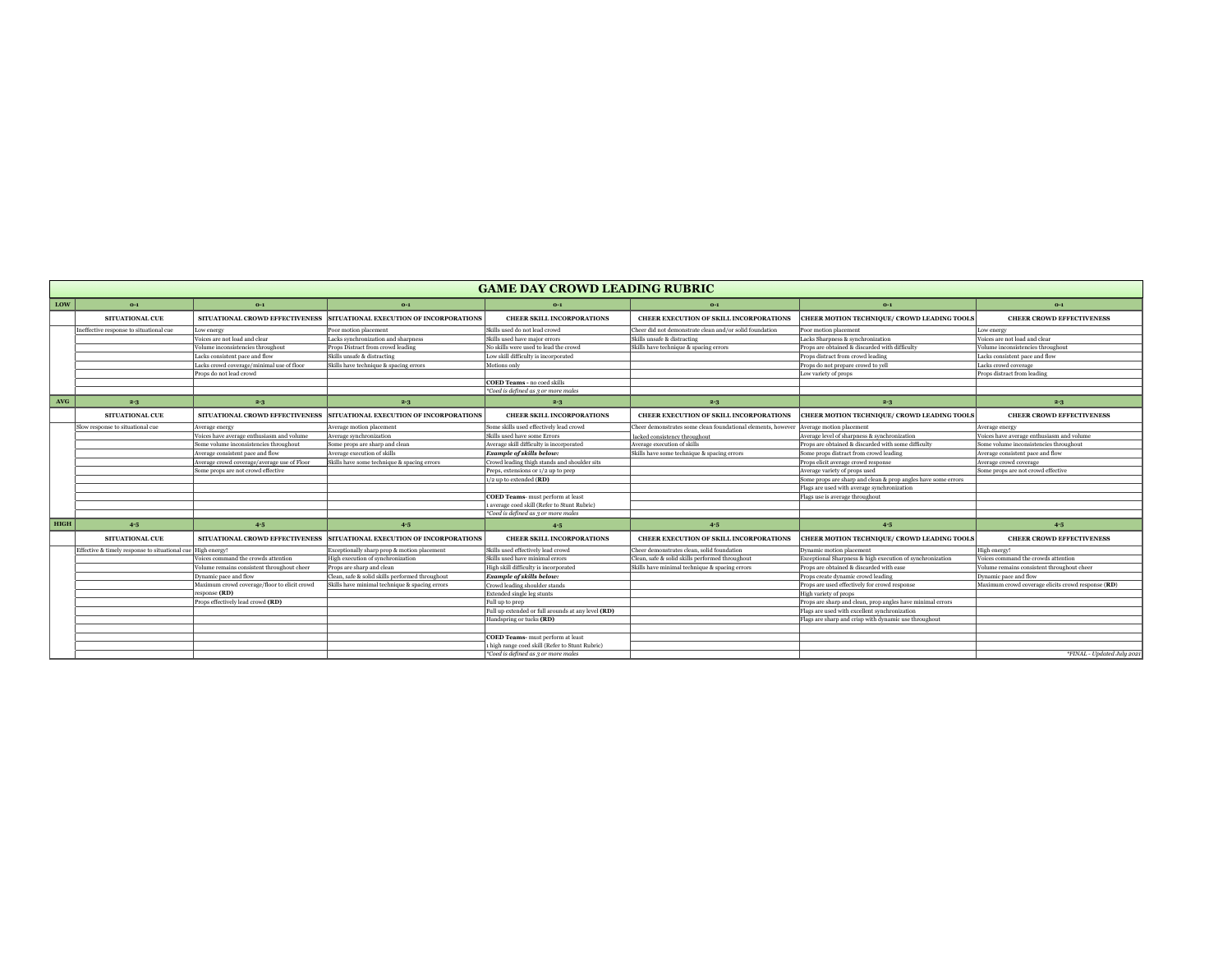|             | <b>GAME DAY CROWD LEADING RUBRIC</b>                          |                                              |                                                                         |                                                       |                                                                                       |                                                               |                                                    |
|-------------|---------------------------------------------------------------|----------------------------------------------|-------------------------------------------------------------------------|-------------------------------------------------------|---------------------------------------------------------------------------------------|---------------------------------------------------------------|----------------------------------------------------|
| <b>LOW</b>  | $0-1$                                                         | $0-1$                                        | $0-1$                                                                   | $0-1$                                                 | $0-1$                                                                                 | $O-1$                                                         | $0-1$                                              |
|             | <b>SITUATIONAL CUE</b>                                        | SITUATIONAL CROWD EFFECTIVENESS              | SITUATIONAL EXECUTION OF INCORPORATIONS                                 | <b>CHEER SKILL INCORPORATIONS</b>                     | <b>CHEER EXECUTION OF SKILL INCORPORATIONS</b>                                        | <b>CHEER MOTION TECHNIQUE/ CROWD LEADING TOOLS  </b>          | <b>CHEER CROWD EFFECTIVENESS</b>                   |
|             | Ineffective response to situational cue                       | Low energy                                   | Poor motion placement                                                   | Skills used do not lead crowd                         | Cheer did not demonstrate clean and/or solid foundation                               | Poor motion placement                                         | Low energy                                         |
|             |                                                               | Voices are not load and clear                | Lacks synchronization and sharpness                                     | <b>Skills used have major errors</b>                  | <b>Skills unsafe &amp; distracting</b>                                                | Lacks Sharpness & synchronization                             | Voices are not load and clear                      |
|             |                                                               | Volume inconsistencies throughout            | <b>Props Distract from crowd leading</b>                                | No skills were used to lead the crowd                 | Skills have technique & spacing errors                                                | Props are obtained & discarded with difficulty                | Volume inconsistencies throughout                  |
|             |                                                               | Lacks consistent pace and flow               | <b>Skills unsafe &amp; distracting</b>                                  | Low skill difficulty is incorporated                  |                                                                                       | <b>Props distract from crowd leading</b>                      | Lacks consistent pace and flow                     |
|             |                                                               | Lacks crowd coverage/minimal use of floor    | Skills have technique & spacing errors                                  | Motions only                                          |                                                                                       | Props do not prepare crowd to yell                            | Lacks crowd coverage                               |
|             |                                                               | Props do not lead crowd                      |                                                                         |                                                       |                                                                                       | Low variety of props                                          | <b>Props distract from leading</b>                 |
|             |                                                               |                                              |                                                                         | <b>COED Teams - no coed skills</b>                    |                                                                                       |                                                               |                                                    |
|             |                                                               |                                              |                                                                         | $\ast$ Coed is defined as 3 or more males             |                                                                                       |                                                               |                                                    |
| <b>AVG</b>  | $2 - 3$                                                       | $2 - 3$                                      | $2 - 3$                                                                 | $2 - 3$                                               | $2 - 3$                                                                               | $2 - 3$                                                       | $2 - 3$                                            |
|             | <b>SITUATIONAL CUE</b>                                        | SITUATIONAL CROWD EFFECTIVENESS              | SITUATIONAL EXECUTION OF INCORPORATIONS                                 | <b>CHEER SKILL INCORPORATIONS</b>                     | <b>CHEER EXECUTION OF SKILL INCORPORATIONS</b>                                        | CHEER MOTION TECHNIQUE/ CROWD LEADING TOOLS                   | <b>CHEER CROWD EFFECTIVENESS</b>                   |
|             | Slow response to situational cue                              | Average energy                               | <b>Average motion placement</b>                                         | Some skills used effectively lead crowd               | Cheer demonstrates some clean foundational elements, however Average motion placement |                                                               | Average energy                                     |
|             |                                                               | Voices have average enthusiasm and volume    | Average synchronization                                                 | <b>Skills used have some Errors</b>                   | lacked consistency throughout                                                         | Average level of sharpness & synchronization                  | Voices have average enthusiasm and volume          |
|             |                                                               | Some volume inconsistencies throughout       | Some props are sharp and clean                                          | Average skill difficulty is incorporated              | Average execution of skills                                                           | Props are obtained & discarded with some difficulty           | Some volume inconsistencies throughout             |
|             |                                                               | Average consistent pace and flow             | Average execution of skills                                             | <b>Example of skills below:</b>                       | Skills have some technique & spacing errors                                           | Some props distract from crowd leading                        | Average consistent pace and flow                   |
|             |                                                               | Average crowd coverage/average use of Floor  | Skills have some technique & spacing errors                             | Crowd leading thigh stands and shoulder sits          |                                                                                       | Props elicit average crowd response                           | Average crowd coverage                             |
|             |                                                               | Some props are not crowd effective           |                                                                         | Preps, extensions or 1/2 up to prep                   |                                                                                       | Average variety of props used                                 | Some props are not crowd effective                 |
|             |                                                               |                                              |                                                                         | $1/2$ up to extended ( <b>RD</b> )                    |                                                                                       | Some props are sharp and clean & prop angles have some errors |                                                    |
|             |                                                               |                                              |                                                                         |                                                       |                                                                                       | Flags are used with average synchronization                   |                                                    |
|             |                                                               |                                              |                                                                         | <b>COED Teams-</b> must perform at least              |                                                                                       | Flags use is average throughout                               |                                                    |
|             |                                                               |                                              |                                                                         | 1 average coed skill (Refer to Stunt Rubric)          |                                                                                       |                                                               |                                                    |
|             |                                                               |                                              |                                                                         | $\ast$ Coed is defined as 3 or more males             |                                                                                       |                                                               |                                                    |
| <b>HIGH</b> | $4 - 5$                                                       | $4-5$                                        | $4-5$                                                                   | $4 - 5$                                               | $4 - 5$                                                                               | $4 - 5$                                                       | $4-5$                                              |
|             | <b>SITUATIONAL CUE</b>                                        |                                              | SITUATIONAL CROWD EFFECTIVENESS SITUATIONAL EXECUTION OF INCORPORATIONS | <b>CHEER SKILL INCORPORATIONS</b>                     | <b>CHEER EXECUTION OF SKILL INCORPORATIONS</b>                                        | CHEER MOTION TECHNIQUE/ CROWD LEADING TOOLS                   | <b>CHEER CROWD EFFECTIVENESS</b>                   |
|             | Effective & timely response to situational cue   High energy! |                                              | Exceptionally sharp prop & motion placement                             | Skills used effectively lead crowd                    | Cheer demonstrates clean, solid foundation                                            | Dynamic motion placement                                      | High energy!                                       |
|             |                                                               | Voices command the crowds attention          | High execution of synchronization                                       | Skills used have minimal errors                       | Clean, safe & solid skills performed throughout                                       | Exceptional Sharpness & high execution of synchronization     | Voices command the crowds attention                |
|             |                                                               | Volume remains consistent throughout cheer   | <b>Props</b> are sharp and clean                                        | High skill difficulty is incorporated                 | Skills have minimal technique & spacing errors                                        | Props are obtained & discarded with ease                      | Volume remains consistent throughout cheer         |
|             |                                                               | Dynamic pace and flow                        | Clean, safe & solid skills performed throughout                         | <b>Example of skills below:</b>                       |                                                                                       | <b>Props create dynamic crowd leading</b>                     | Dynamic pace and flow                              |
|             |                                                               | Maximum crowd coverage/floor to elicit crowd | Skills have minimal technique & spacing errors                          | Crowd leading shoulder stands                         |                                                                                       | Props are used effectively for crowd response                 | Maximum crowd coverage elicits crowd response (RD) |
|             |                                                               | $\ket{\text{response (RD)}}$                 |                                                                         | <b>Extended single leg stunts</b>                     |                                                                                       | High variety of props                                         |                                                    |
|             |                                                               | Props effectively lead crowd (RD)            |                                                                         | Full up to prep                                       |                                                                                       | Props are sharp and clean, prop angles have minimal errors    |                                                    |
|             |                                                               |                                              |                                                                         | Full up extended or full arounds at any level (RD)    |                                                                                       | Flags are used with excellent synchronization                 |                                                    |
|             |                                                               |                                              |                                                                         | Handspring or tucks (RD)                              |                                                                                       | Flags are sharp and crisp with dynamic use throughout         |                                                    |
|             |                                                               |                                              |                                                                         |                                                       |                                                                                       |                                                               |                                                    |
|             |                                                               |                                              |                                                                         | <b>COED Teams-</b> must perform at least              |                                                                                       |                                                               |                                                    |
|             |                                                               |                                              |                                                                         | 1 high range coed skill (Refer to Stunt Rubric)       |                                                                                       |                                                               |                                                    |
|             |                                                               |                                              |                                                                         | $\mathbf{\degree}$ Coed is defined as 3 or more males |                                                                                       |                                                               | <i>*FINAL</i> - Updated July 2021                  |